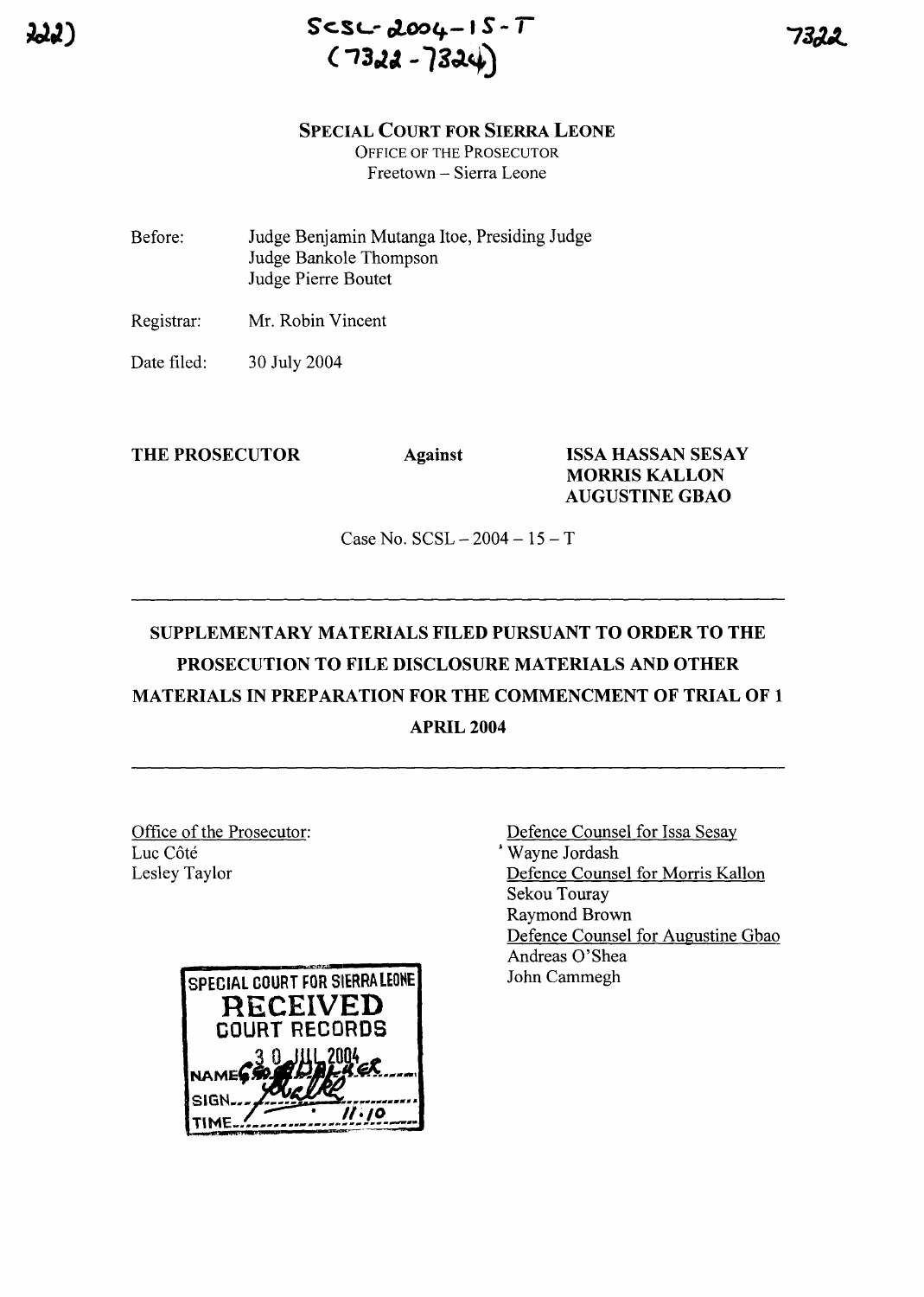

#### **SPECIAL COURT FOR SIERRA LEONE**

OFFICE OF THE PROSECUTOR Freetown - Sierra Leone

- Before: Judge Benjamin Mutanga Itoe, Presiding Judge Judge Bankole Thompson Judge Pierre Boutet
- Registrar: Mr. Robin Vincent
- Date filed: 30 July 2004

### **THE PROSECUTOR Against ISSA HASSAN SESAY MORRIS KALLON AUGUSTINE GBAO**

Case No.  $SCSL - 2004 - 15 - T$ 

# **SUPPLEMENTARY MATERIALS FILED PURSUANT TO ORDER TO THE PROSECUTION TO FILE DISCLOSURE MATERIALS AND OTHER MATERIALS IN PREPARA.TION FOR THE COMMENCMENT OF TRIAL OF 1 APRIL 2004**

Office of the Prosecutor: Luc Côté Lesley Taylor



Defence Counsel for Issa Sesay , Wayne Jordash Defence Counsel for Morris Kallon Sekou Touray Raymond Brown Defence Counsel for Augustine Gbao Andreas 0'Shea John Cammegh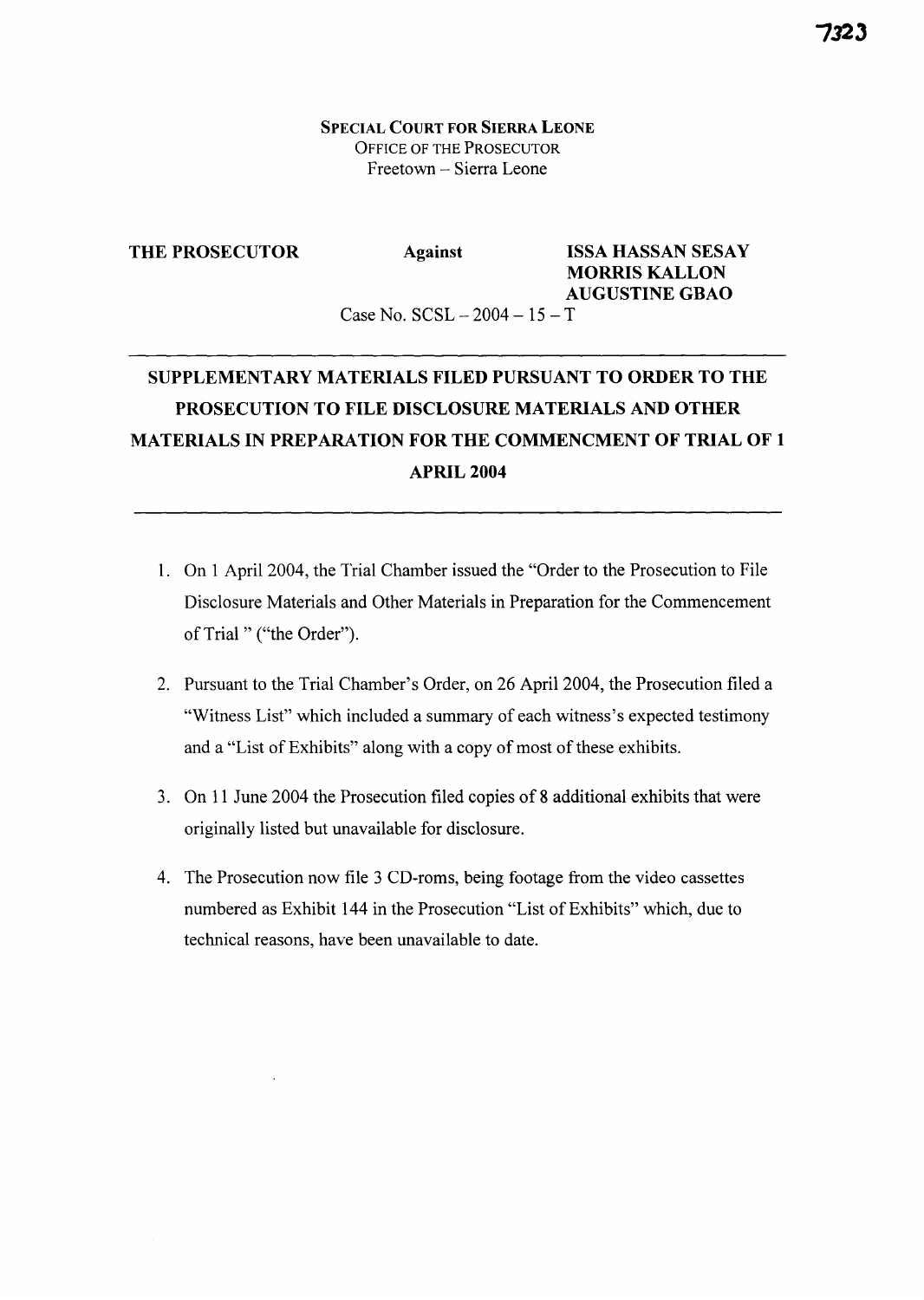SPECIAL COURT FOR SIERRA LEONE OFFICE OF THE PROSECUTOR Freetown - Sierra Leone

#### THE PROSECUTOR

### Against ISSA HASSAN SESAY MORRIS KALLON AUGUSTINE GBAO

Case No.  $SCSL - 2004 - 15 - T$ 

## SUPPLEMENTARY MATERIALS FILED PURSUANT TO ORDER TO THE PROSECUTION TO FILE DISCLOSURE MATERIALS AND OTHER MATERIALS IN PREPARATION FOR THE COMMENCMENT OF TRIAL OF 1 APRIL 2004

- 1. On 1 April 2004, the Trial Chamber issued the "Order to the Prosecution to File Disclosure Materials and Other Materials in Preparation for the Commencement of Trial" ("the Order").
- 2. Pursuant to the Trial Chamber's Order, on 26 April 2004, the Prosecution filed a "Witness List" which included a summary of each witness's expected testimony and a "List of Exhibits" along with a copy of most of these exhibits.
- 3. On 11 June 2004 the Prosecution filed copies of 8 additional exhibits that were originally listed but unavailable for disclosure.
- 4. The Prosecution now file 3 CD-roms, being footage from the video cassettes numbered as Exhibit 144 in the Prosecution "List of Exhibits" which, due to technical reasons, have been unavailable to date.